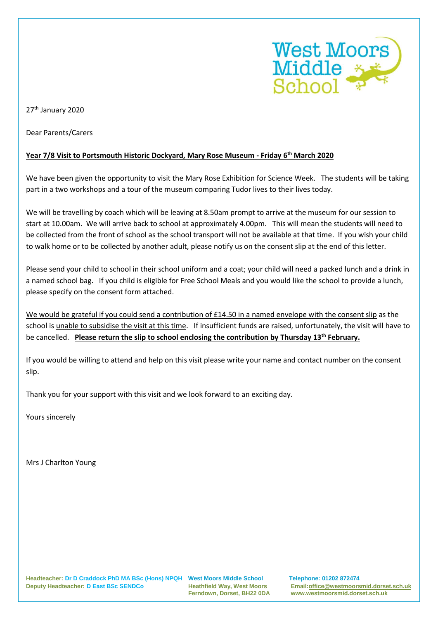

27<sup>th</sup> January 2020

Dear Parents/Carers

## **Year 7/8 Visit to Portsmouth Historic Dockyard, Mary Rose Museum - Friday 6 th March 2020**

We have been given the opportunity to visit the Mary Rose Exhibition for Science Week. The students will be taking part in a two workshops and a tour of the museum comparing Tudor lives to their lives today.

We will be travelling by coach which will be leaving at 8.50am prompt to arrive at the museum for our session to start at 10.00am. We will arrive back to school at approximately 4.00pm. This will mean the students will need to be collected from the front of school as the school transport will not be available at that time. If you wish your child to walk home or to be collected by another adult, please notify us on the consent slip at the end of this letter.

Please send your child to school in their school uniform and a coat; your child will need a packed lunch and a drink in a named school bag. If you child is eligible for Free School Meals and you would like the school to provide a lunch, please specify on the consent form attached.

We would be grateful if you could send a contribution of £14.50 in a named envelope with the consent slip as the school is unable to subsidise the visit at this time. If insufficient funds are raised, unfortunately, the visit will have to be cancelled. **Please return the slip to school enclosing the contribution by Thursday 13th February.**

If you would be willing to attend and help on this visit please write your name and contact number on the consent slip.

Thank you for your support with this visit and we look forward to an exciting day.

Yours sincerely

Mrs J Charlton Young

**Headteacher: Dr D Craddock PhD MA BSc (Hons) NPQH West Moors Middle School Telephone: 01202 872474 Deputy Headteacher: D East BSc SENDCo Heathfield Way, West Moors Email[:office@westmoorsmid.dorset.sch.uk](mailto:office@westmoorsmid.dorset.sch.uk)**

 **Ferndown, Dorset, BH22 0DA www.westmoorsmid.dorset.sch.uk**